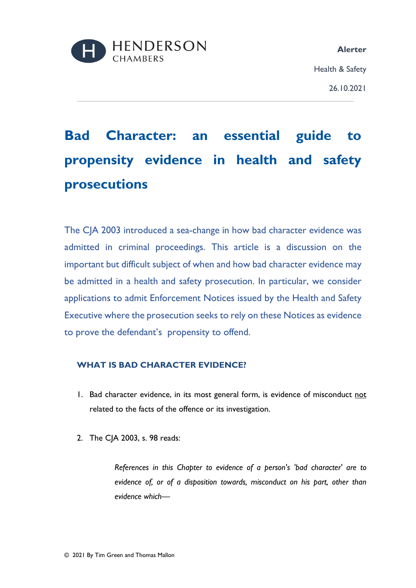

# **Bad Character: an essential guide to propensity evidence in health and safety prosecutions**

The CJA 2003 introduced a sea-change in how bad character evidence was admitted in criminal proceedings. This article is a discussion on the important but difficult subject of when and how bad character evidence may be admitted in a health and safety prosecution. In particular, we consider applications to admit Enforcement Notices issued by the Health and Safety Executive where the prosecution seeks to rely on these Notices as evidence to prove the defendant's propensity to offend.

## **WHAT IS BAD CHARACTER EVIDENCE?**

- 1. Bad character evidence, in its most general form, is evidence of misconduct not related to the facts of the offence or its investigation.
- 2. The CJA 2003, s. 98 reads:

*References in this Chapter to evidence of a person's 'bad character' are to evidence of, or of a disposition towards, misconduct on his part, other than evidence which—*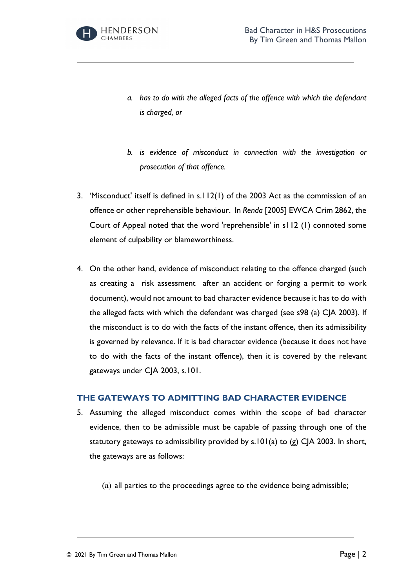

- *a. has to do with the alleged facts of the offence with which the defendant is charged, or*
- *b. is evidence of misconduct in connection with the investigation or prosecution of that offence.*
- 3. 'Misconduct' itself is defined in s.112(1) of the 2003 Act as the commission of an offence or other reprehensible behaviour. In *Renda* [2005] EWCA Crim 2862, the Court of Appeal noted that the word 'reprehensible' in s112 (1) connoted some element of culpability or blameworthiness.
- 4. On the other hand, evidence of misconduct relating to the offence charged (such as creating a risk assessment after an accident or forging a permit to work document), would not amount to bad character evidence because it has to do with the alleged facts with which the defendant was charged (see s98 (a) CJA 2003). If the misconduct is to do with the facts of the instant offence, then its admissibility is governed by relevance. If it is bad character evidence (because it does not have to do with the facts of the instant offence), then it is covered by the relevant gateways under CJA 2003, s.101.

### **THE GATEWAYS TO ADMITTING BAD CHARACTER EVIDENCE**

- 5. Assuming the alleged misconduct comes within the scope of bad character evidence, then to be admissible must be capable of passing through one of the statutory gateways to admissibility provided by s.101(a) to (g) CJA 2003. In short, the gateways are as follows:
	- (a) all parties to the proceedings agree to the evidence being admissible;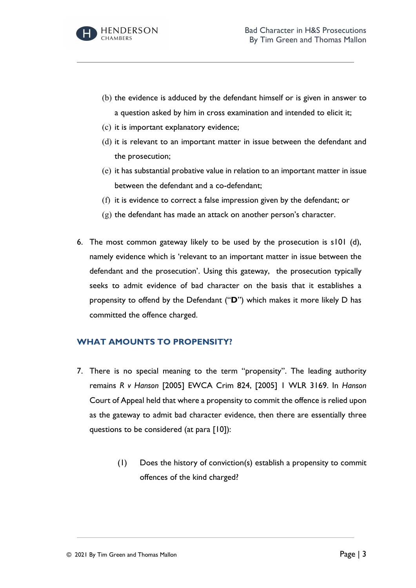

- (b) the evidence is adduced by the defendant himself or is given in answer to a question asked by him in cross examination and intended to elicit it;
- (c) it is important explanatory evidence;
- (d) it is relevant to an important matter in issue between the defendant and the prosecution;
- (e) it has substantial probative value in relation to an important matter in issue between the defendant and a co-defendant;
- (f) it is evidence to correct a false impression given by the defendant; or
- (g) the defendant has made an attack on another person's character.
- 6. The most common gateway likely to be used by the prosecution is s101 (d), namely evidence which is 'relevant to an important matter in issue between the defendant and the prosecution'. Using this gateway, the prosecution typically seeks to admit evidence of bad character on the basis that it establishes a propensity to offend by the Defendant ("**D**") which makes it more likely D has committed the offence charged.

## **WHAT AMOUNTS TO PROPENSITY?**

- 7. There is no special meaning to the term "propensity". The leading authority remains *R v Hanson* [2005] EWCA Crim 824, [2005] 1 WLR 3169. In *Hanson* Court of Appeal held that where a propensity to commit the offence is relied upon as the gateway to admit bad character evidence, then there are essentially three questions to be considered (at para [10]):
	- (1) Does the history of conviction(s) establish a propensity to commit offences of the kind charged?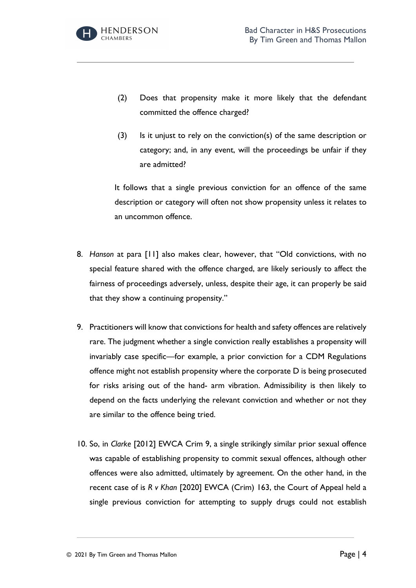

- (2) Does that propensity make it more likely that the defendant committed the offence charged?
- (3) Is it unjust to rely on the conviction(s) of the same description or category; and, in any event, will the proceedings be unfair if they are admitted?

It follows that a single previous conviction for an offence of the same description or category will often not show propensity unless it relates to an uncommon offence.

- 8. *Hanson* at para [11] also makes clear, however, that "Old convictions, with no special feature shared with the offence charged, are likely seriously to affect the fairness of proceedings adversely, unless, despite their age, it can properly be said that they show a continuing propensity."
- 9. Practitioners will know that convictions for health and safety offences are relatively rare. The judgment whether a single conviction really establishes a propensity will invariably case specific—for example, a prior conviction for a CDM Regulations offence might not establish propensity where the corporate D is being prosecuted for risks arising out of the hand- arm vibration. Admissibility is then likely to depend on the facts underlying the relevant conviction and whether or not they are similar to the offence being tried.
- 10. So, in *Clarke* [2012] EWCA Crim 9, a single strikingly similar prior sexual offence was capable of establishing propensity to commit sexual offences, although other offences were also admitted, ultimately by agreement. On the other hand, in the recent case of is *R v Khan* [2020] EWCA (Crim) 163, the Court of Appeal held a single previous conviction for attempting to supply drugs could not establish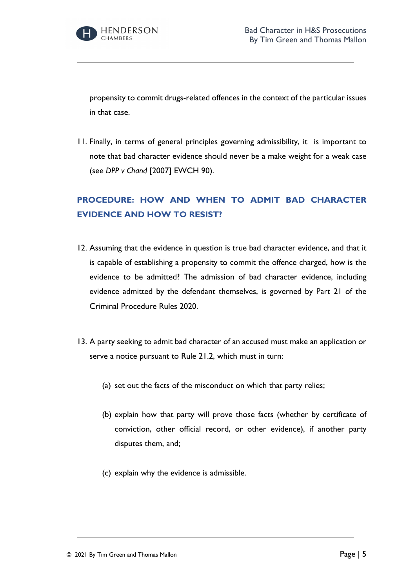

propensity to commit drugs-related offences in the context of the particular issues in that case.

11. Finally, in terms of general principles governing admissibility, it is important to note that bad character evidence should never be a make weight for a weak case (see *DPP v Chand* [2007] EWCH 90).

# **PROCEDURE: HOW AND WHEN TO ADMIT BAD CHARACTER EVIDENCE AND HOW TO RESIST?**

- 12. Assuming that the evidence in question is true bad character evidence, and that it is capable of establishing a propensity to commit the offence charged, how is the evidence to be admitted? The admission of bad character evidence, including evidence admitted by the defendant themselves, is governed by Part 21 of the Criminal Procedure Rules 2020.
- 13. A party seeking to admit bad character of an accused must make an application or serve a notice pursuant to Rule 21.2, which must in turn:
	- (a) set out the facts of the misconduct on which that party relies;
	- (b) explain how that party will prove those facts (whether by certificate of conviction, other official record, or other evidence), if another party disputes them, and;
	- (c) explain why the evidence is admissible.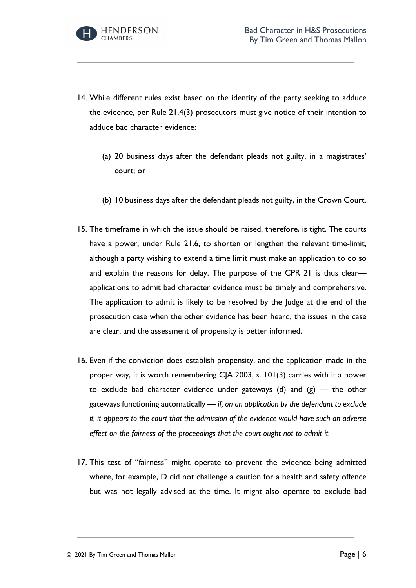

- 14. While different rules exist based on the identity of the party seeking to adduce the evidence, per Rule 21.4(3) prosecutors must give notice of their intention to adduce bad character evidence:
	- (a) 20 business days after the defendant pleads not guilty, in a magistrates' court; or
	- (b) 10 business days after the defendant pleads not guilty, in the Crown Court.
- 15. The timeframe in which the issue should be raised, therefore, is tight. The courts have a power, under Rule 21.6, to shorten or lengthen the relevant time-limit, although a party wishing to extend a time limit must make an application to do so and explain the reasons for delay. The purpose of the CPR 21 is thus clear applications to admit bad character evidence must be timely and comprehensive. The application to admit is likely to be resolved by the Judge at the end of the prosecution case when the other evidence has been heard, the issues in the case are clear, and the assessment of propensity is better informed.
- 16. Even if the conviction does establish propensity, and the application made in the proper way, it is worth remembering CJA 2003, s. 101(3) carries with it a power to exclude bad character evidence under gateways (d) and  $(g)$  — the other gateways functioning automatically — *if, on an application by the defendant to exclude it, it appears to the court that the admission of the evidence would have such an adverse effect on the fairness of the proceedings that the court ought not to admit it.*
- 17. This test of "fairness" might operate to prevent the evidence being admitted where, for example, D did not challenge a caution for a health and safety offence but was not legally advised at the time. It might also operate to exclude bad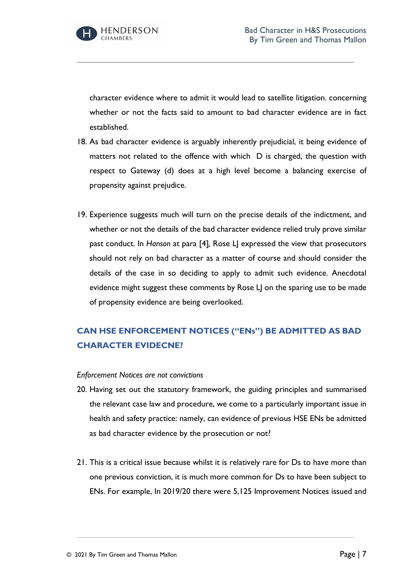character evidence where to admit it would lead to satellite litigation. concerning whether or not the facts said to amount to bad character evidence are in fact established.

- 18. As bad character evidence is arguably inherently prejudicial, it being evidence of matters not related to the offence with which D is charged, the question with respect to Gateway (d) does at a high level become a balancing exercise of propensity against prejudice.
- 19. Experience suggests much will turn on the precise details of the indictment, and whether or not the details of the bad character evidence relied truly prove similar past conduct. In *Hanson* at para [4]*,* Rose LJ expressed the view that prosecutors should not rely on bad character as a matter of course and should consider the details of the case in so deciding to apply to admit such evidence. Anecdotal evidence might suggest these comments by Rose LJ on the sparing use to be made of propensity evidence are being overlooked.

# **CAN HSE ENFORCEMENT NOTICES ("ENs") BE ADMITTED AS BAD CHARACTER EVIDECNE?**

### *Enforcement Notices are not convictions*

- 20. Having set out the statutory framework, the guiding principles and summarised the relevant case law and procedure, we come to a particularly important issue in health and safety practice: namely, can evidence of previous HSE ENs be admitted as bad character evidence by the prosecution or not?
- 21. This is a critical issue because whilst it is relatively rare for Ds to have more than one previous conviction, it is much more common for Ds to have been subject to ENs. For example, In 2019/20 there were 5,125 Improvement Notices issued and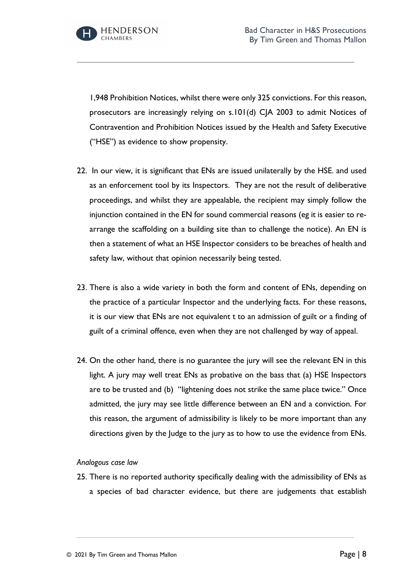

1,948 Prohibition Notices, whilst there were only 325 convictions. For this reason, prosecutors are increasingly relying on s.101(d) CJA 2003 to admit Notices of Contravention and Prohibition Notices issued by the Health and Safety Executive ("HSE") as evidence to show propensity.

- 22. In our view, it is significant that ENs are issued unilaterally by the HSE. and used as an enforcement tool by its Inspectors. They are not the result of deliberative proceedings, and whilst they are appealable, the recipient may simply follow the injunction contained in the EN for sound commercial reasons (eg it is easier to rearrange the scaffolding on a building site than to challenge the notice). An EN is then a statement of what an HSE Inspector considers to be breaches of health and safety law, without that opinion necessarily being tested.
- 23. There is also a wide variety in both the form and content of ENs, depending on the practice of a particular Inspector and the underlying facts. For these reasons, it is our view that ENs are not equivalent t to an admission of guilt or a finding of guilt of a criminal offence, even when they are not challenged by way of appeal.
- 24. On the other hand, there is no guarantee the jury will see the relevant EN in this light. A jury may well treat ENs as probative on the bass that (a) HSE Inspectors are to be trusted and (b) "lightening does not strike the same place twice." Once admitted, the jury may see little difference between an EN and a conviction. For this reason, the argument of admissibility is likely to be more important than any directions given by the Judge to the jury as to how to use the evidence from ENs.

### *Analogous case law*

25. There is no reported authority specifically dealing with the admissibility of ENs as a species of bad character evidence, but there are judgements that establish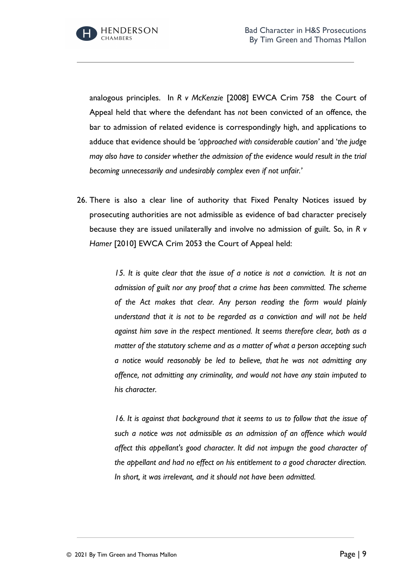analogous principles. In *R v McKenzie* [2008] EWCA Crim 758 the Court of Appeal held that where the defendant has *not* been convicted of an offence, the bar to admission of related evidence is correspondingly high, and applications to adduce that evidence should be *'approached with considerable caution'* and '*the judge may also have to consider whether the admission of the evidence would result in the trial becoming unnecessarily and undesirably complex even if not unfair.'* 

26. There is also a clear line of authority that Fixed Penalty Notices issued by prosecuting authorities are not admissible as evidence of bad character precisely because they are issued unilaterally and involve no admission of guilt. So, in *R v Hamer* [2010] EWCA Crim 2053 the Court of Appeal held:

> *15. It is quite clear that the issue of a notice is not a conviction. It is not an admission of guilt nor any proof that a crime has been committed. The scheme of the Act makes that clear. Any person reading the form would plainly understand that it is not to be regarded as a conviction and will not be held against him save in the respect mentioned. It seems therefore clear, both as a matter of the statutory scheme and as a matter of what a person accepting such a notice would reasonably be led to believe, that he was not admitting any offence, not admitting any criminality, and would not have any stain imputed to his character.*

> *16. It is against that background that it seems to us to follow that the issue of such a notice was not admissible as an admission of an offence which would affect this appellant's good character. It did not impugn the good character of the appellant and had no effect on his entitlement to a good character direction. In short, it was irrelevant, and it should not have been admitted.*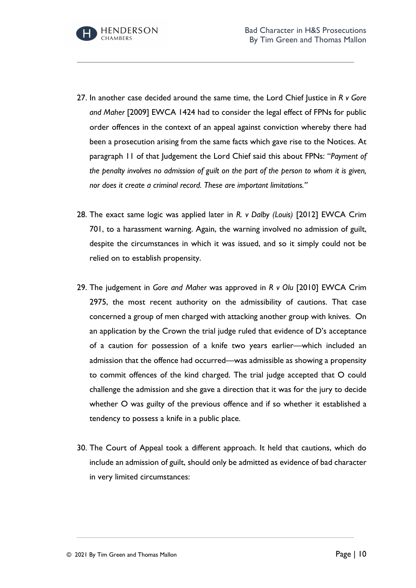

- 27. In another case decided around the same time, the Lord Chief Justice in *R v Gore and Maher* [2009] EWCA 1424 had to consider the legal effect of FPNs for public order offences in the context of an appeal against conviction whereby there had been a prosecution arising from the same facts which gave rise to the Notices. At paragraph 11 of that Judgement the Lord Chief said this about FPNs: "*Payment of the penalty involves no admission of guilt on the part of the person to whom it is given, nor does it create a criminal record. These are important limitations."*
- 28. The exact same logic was applied later in *R. v Dalby (Louis)* [2012] EWCA Crim 701, to a harassment warning. Again, the warning involved no admission of guilt, despite the circumstances in which it was issued, and so it simply could not be relied on to establish propensity.
- 29. The judgement in *Gore and Maher* was approved in *R v Olu* [2010] EWCA Crim 2975, the most recent authority on the admissibility of cautions. That case concerned a group of men charged with attacking another group with knives. On an application by the Crown the trial judge ruled that evidence of D's acceptance of a caution for possession of a knife two years earlier—which included an admission that the offence had occurred—was admissible as showing a propensity to commit offences of the kind charged. The trial judge accepted that O could challenge the admission and she gave a direction that it was for the jury to decide whether O was guilty of the previous offence and if so whether it established a tendency to possess a knife in a public place.
- 30. The Court of Appeal took a different approach. It held that cautions, which do include an admission of guilt, should only be admitted as evidence of bad character in very limited circumstances: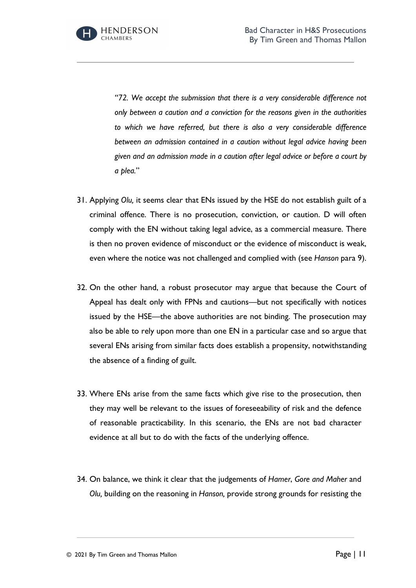

*"72. We accept the submission that there is a very considerable difference not only between a caution and a conviction for the reasons given in the authorities to which we have referred, but there is also a very considerable difference between an admission contained in a caution without legal advice having been given and an admission made in a caution after legal advice or before a court by a plea.*"

- 31. Applying *Olu,* it seems clear that ENs issued by the HSE do not establish guilt of a criminal offence. There is no prosecution, conviction, or caution. D will often comply with the EN without taking legal advice, as a commercial measure. There is then no proven evidence of misconduct or the evidence of misconduct is weak, even where the notice was not challenged and complied with (see *Hanson* para 9).
- 32. On the other hand, a robust prosecutor may argue that because the Court of Appeal has dealt only with FPNs and cautions—but not specifically with notices issued by the HSE—the above authorities are not binding. The prosecution may also be able to rely upon more than one EN in a particular case and so argue that several ENs arising from similar facts does establish a propensity, notwithstanding the absence of a finding of guilt.
- 33. Where ENs arise from the same facts which give rise to the prosecution, then they may well be relevant to the issues of foreseeability of risk and the defence of reasonable practicability. In this scenario, the ENs are not bad character evidence at all but to do with the facts of the underlying offence.
- 34. On balance, we think it clear that the judgements of *Hamer*, *Gore and Maher* and *Olu,* building on the reasoning in *Hanson,* provide strong grounds for resisting the